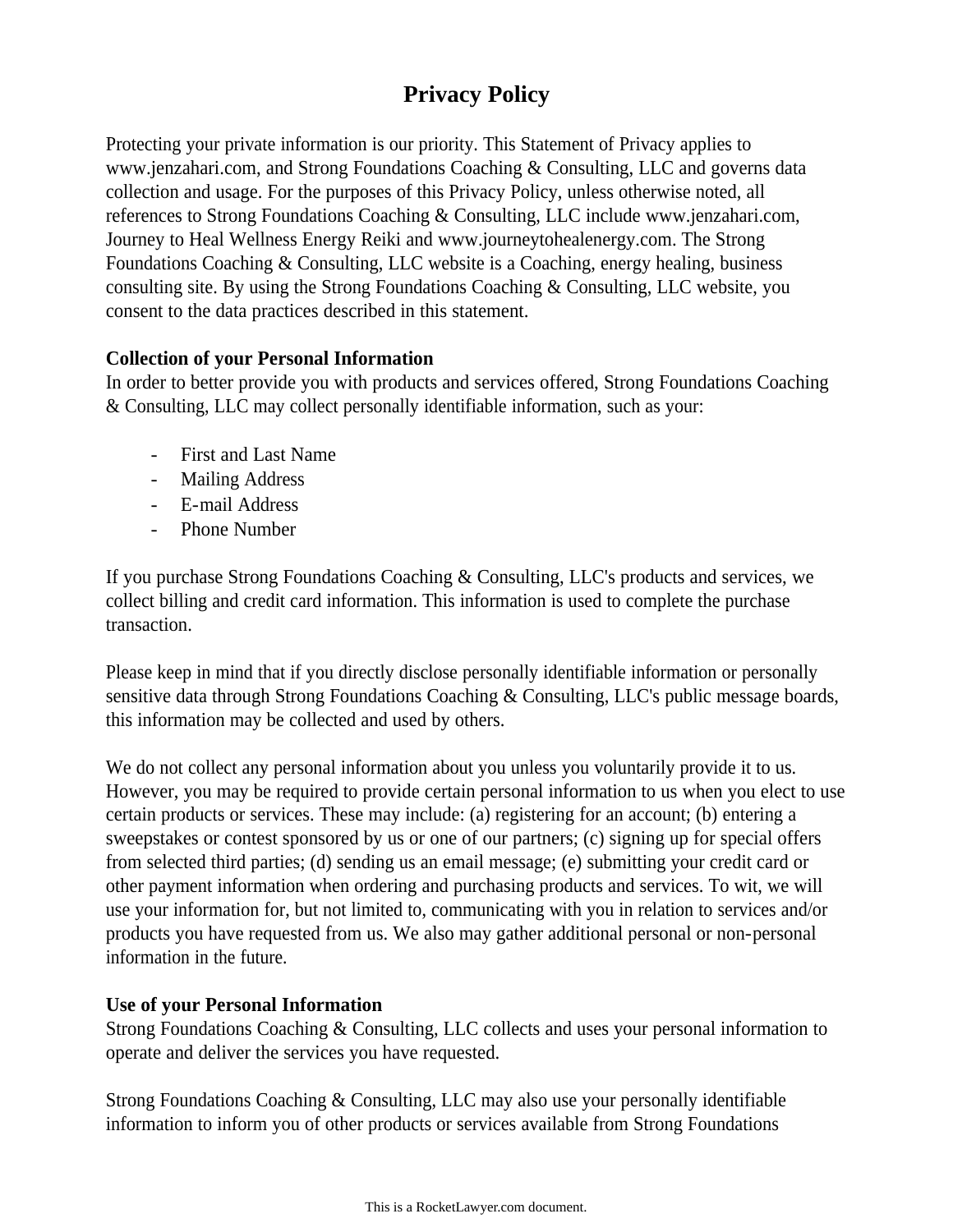# **Privacy Policy**

Protecting your private information is our priority. This Statement of Privacy applies to www.jenzahari.com, and Strong Foundations Coaching & Consulting, LLC and governs data collection and usage. For the purposes of this Privacy Policy, unless otherwise noted, all references to Strong Foundations Coaching & Consulting, LLC include www.jenzahari.com, Journey to Heal Wellness Energy Reiki and www.journeytohealenergy.com. The Strong Foundations Coaching & Consulting, LLC website is a Coaching, energy healing, business consulting site. By using the Strong Foundations Coaching & Consulting, LLC website, you consent to the data practices described in this statement.

## **Collection of your Personal Information**

In order to better provide you with products and services offered, Strong Foundations Coaching & Consulting, LLC may collect personally identifiable information, such as your:

- First and Last Name
- Mailing Address
- E-mail Address
- Phone Number

If you purchase Strong Foundations Coaching & Consulting, LLC's products and services, we collect billing and credit card information. This information is used to complete the purchase transaction.

Please keep in mind that if you directly disclose personally identifiable information or personally sensitive data through Strong Foundations Coaching & Consulting, LLC's public message boards, this information may be collected and used by others.

We do not collect any personal information about you unless you voluntarily provide it to us. However, you may be required to provide certain personal information to us when you elect to use certain products or services. These may include: (a) registering for an account; (b) entering a sweepstakes or contest sponsored by us or one of our partners; (c) signing up for special offers from selected third parties; (d) sending us an email message; (e) submitting your credit card or other payment information when ordering and purchasing products and services. To wit, we will use your information for, but not limited to, communicating with you in relation to services and/or products you have requested from us. We also may gather additional personal or non-personal information in the future.

## **Use of your Personal Information**

Strong Foundations Coaching & Consulting, LLC collects and uses your personal information to operate and deliver the services you have requested.

Strong Foundations Coaching & Consulting, LLC may also use your personally identifiable information to inform you of other products or services available from Strong Foundations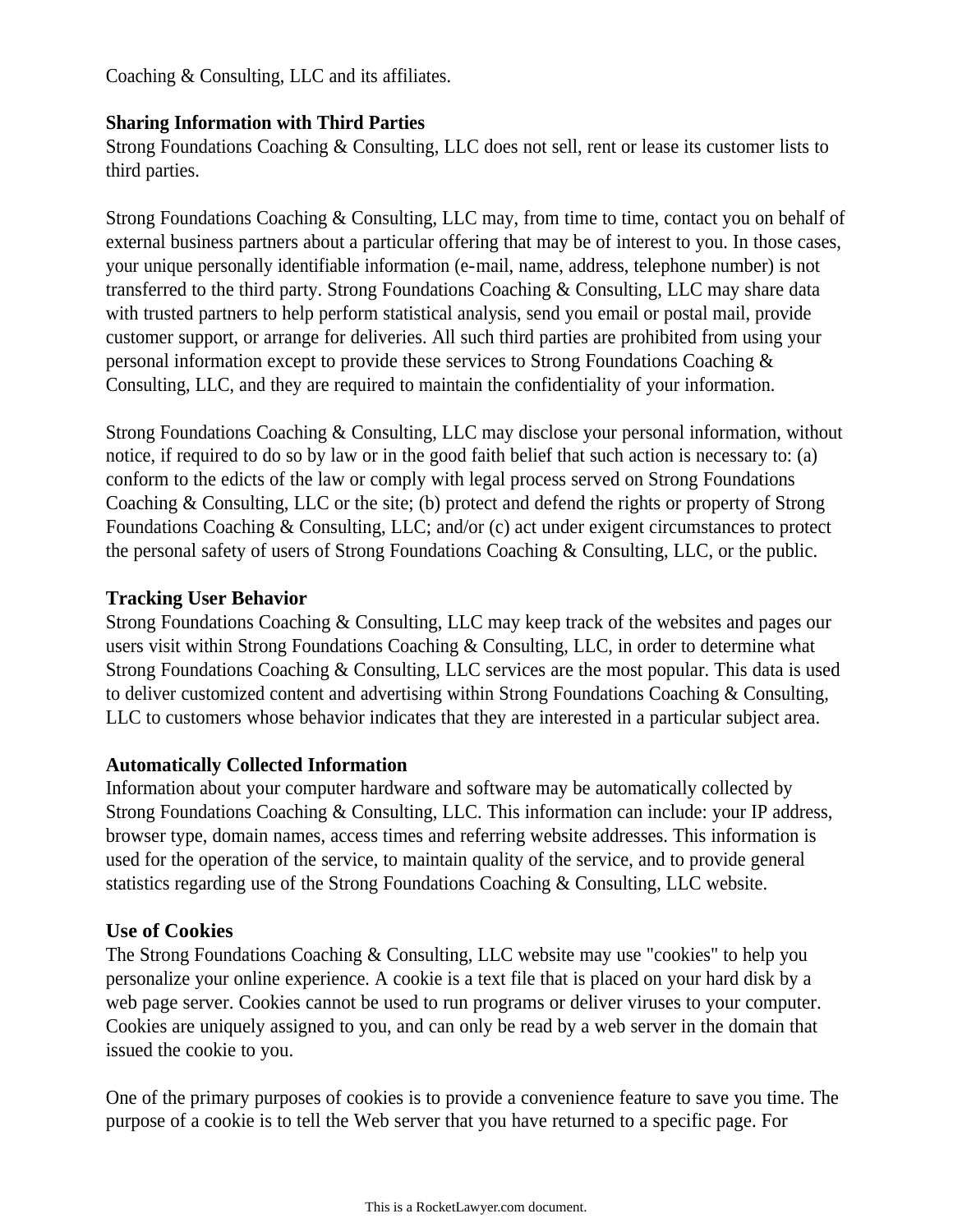Coaching & Consulting, LLC and its affiliates.

#### **Sharing Information with Third Parties**

Strong Foundations Coaching & Consulting, LLC does not sell, rent or lease its customer lists to third parties.

Strong Foundations Coaching & Consulting, LLC may, from time to time, contact you on behalf of external business partners about a particular offering that may be of interest to you. In those cases, your unique personally identifiable information (e-mail, name, address, telephone number) is not transferred to the third party. Strong Foundations Coaching & Consulting, LLC may share data with trusted partners to help perform statistical analysis, send you email or postal mail, provide customer support, or arrange for deliveries. All such third parties are prohibited from using your personal information except to provide these services to Strong Foundations Coaching & Consulting, LLC, and they are required to maintain the confidentiality of your information.

Strong Foundations Coaching & Consulting, LLC may disclose your personal information, without notice, if required to do so by law or in the good faith belief that such action is necessary to: (a) conform to the edicts of the law or comply with legal process served on Strong Foundations Coaching & Consulting, LLC or the site; (b) protect and defend the rights or property of Strong Foundations Coaching & Consulting, LLC; and/or (c) act under exigent circumstances to protect the personal safety of users of Strong Foundations Coaching & Consulting, LLC, or the public.

#### **Tracking User Behavior**

Strong Foundations Coaching & Consulting, LLC may keep track of the websites and pages our users visit within Strong Foundations Coaching & Consulting, LLC, in order to determine what Strong Foundations Coaching & Consulting, LLC services are the most popular. This data is used to deliver customized content and advertising within Strong Foundations Coaching & Consulting, LLC to customers whose behavior indicates that they are interested in a particular subject area.

#### **Automatically Collected Information**

Information about your computer hardware and software may be automatically collected by Strong Foundations Coaching & Consulting, LLC. This information can include: your IP address, browser type, domain names, access times and referring website addresses. This information is used for the operation of the service, to maintain quality of the service, and to provide general statistics regarding use of the Strong Foundations Coaching & Consulting, LLC website.

#### **Use of Cookies**

The Strong Foundations Coaching & Consulting, LLC website may use "cookies" to help you personalize your online experience. A cookie is a text file that is placed on your hard disk by a web page server. Cookies cannot be used to run programs or deliver viruses to your computer. Cookies are uniquely assigned to you, and can only be read by a web server in the domain that issued the cookie to you.

One of the primary purposes of cookies is to provide a convenience feature to save you time. The purpose of a cookie is to tell the Web server that you have returned to a specific page. For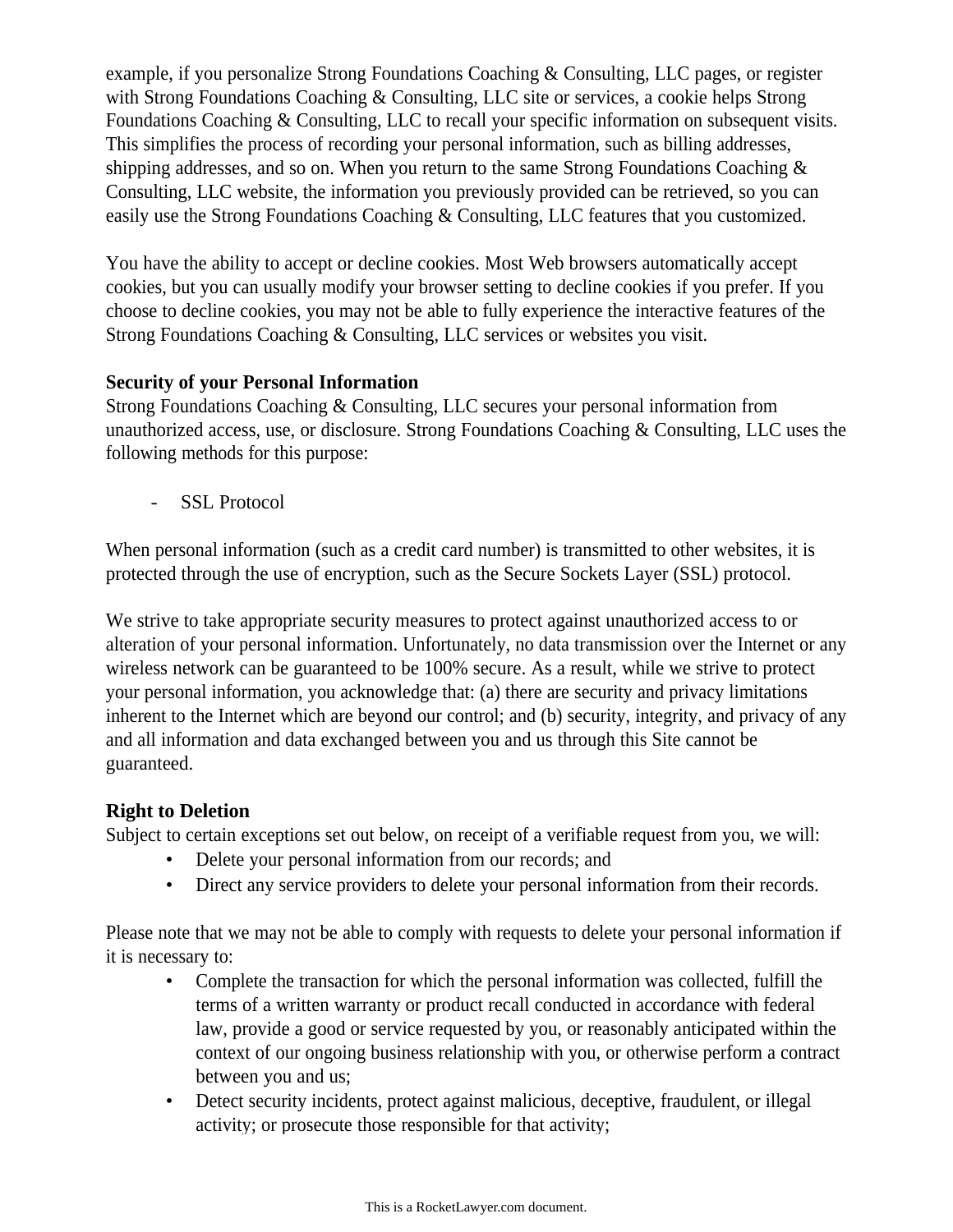example, if you personalize Strong Foundations Coaching & Consulting, LLC pages, or register with Strong Foundations Coaching & Consulting, LLC site or services, a cookie helps Strong Foundations Coaching & Consulting, LLC to recall your specific information on subsequent visits. This simplifies the process of recording your personal information, such as billing addresses, shipping addresses, and so on. When you return to the same Strong Foundations Coaching & Consulting, LLC website, the information you previously provided can be retrieved, so you can easily use the Strong Foundations Coaching & Consulting, LLC features that you customized.

You have the ability to accept or decline cookies. Most Web browsers automatically accept cookies, but you can usually modify your browser setting to decline cookies if you prefer. If you choose to decline cookies, you may not be able to fully experience the interactive features of the Strong Foundations Coaching & Consulting, LLC services or websites you visit.

## **Security of your Personal Information**

Strong Foundations Coaching & Consulting, LLC secures your personal information from unauthorized access, use, or disclosure. Strong Foundations Coaching & Consulting, LLC uses the following methods for this purpose:

- SSL Protocol

When personal information (such as a credit card number) is transmitted to other websites, it is protected through the use of encryption, such as the Secure Sockets Layer (SSL) protocol.

We strive to take appropriate security measures to protect against unauthorized access to or alteration of your personal information. Unfortunately, no data transmission over the Internet or any wireless network can be guaranteed to be 100% secure. As a result, while we strive to protect your personal information, you acknowledge that: (a) there are security and privacy limitations inherent to the Internet which are beyond our control; and (b) security, integrity, and privacy of any and all information and data exchanged between you and us through this Site cannot be guaranteed.

## **Right to Deletion**

Subject to certain exceptions set out below, on receipt of a verifiable request from you, we will:

- Delete your personal information from our records; and
- Direct any service providers to delete your personal information from their records.

Please note that we may not be able to comply with requests to delete your personal information if it is necessary to:

- Complete the transaction for which the personal information was collected, fulfill the terms of a written warranty or product recall conducted in accordance with federal law, provide a good or service requested by you, or reasonably anticipated within the context of our ongoing business relationship with you, or otherwise perform a contract between you and us;
- Detect security incidents, protect against malicious, deceptive, fraudulent, or illegal activity; or prosecute those responsible for that activity;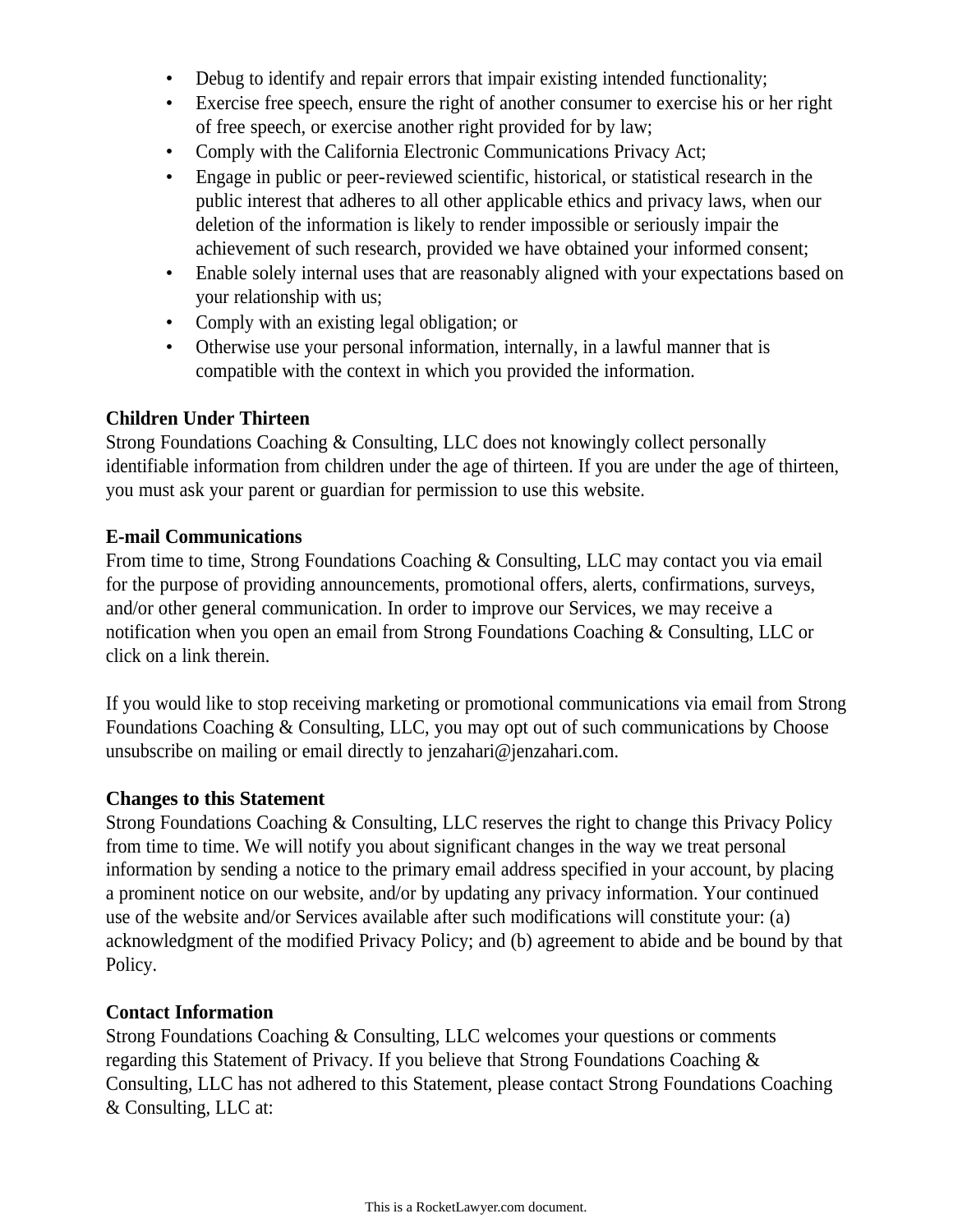- Debug to identify and repair errors that impair existing intended functionality;
- Exercise free speech, ensure the right of another consumer to exercise his or her right of free speech, or exercise another right provided for by law;
- Comply with the California Electronic Communications Privacy Act;
- Engage in public or peer-reviewed scientific, historical, or statistical research in the public interest that adheres to all other applicable ethics and privacy laws, when our deletion of the information is likely to render impossible or seriously impair the achievement of such research, provided we have obtained your informed consent;
- Enable solely internal uses that are reasonably aligned with your expectations based on your relationship with us;
- Comply with an existing legal obligation; or
- Otherwise use your personal information, internally, in a lawful manner that is compatible with the context in which you provided the information.

## **Children Under Thirteen**

Strong Foundations Coaching & Consulting, LLC does not knowingly collect personally identifiable information from children under the age of thirteen. If you are under the age of thirteen, you must ask your parent or guardian for permission to use this website.

## **E-mail Communications**

From time to time, Strong Foundations Coaching & Consulting, LLC may contact you via email for the purpose of providing announcements, promotional offers, alerts, confirmations, surveys, and/or other general communication. In order to improve our Services, we may receive a notification when you open an email from Strong Foundations Coaching & Consulting, LLC or click on a link therein.

If you would like to stop receiving marketing or promotional communications via email from Strong Foundations Coaching & Consulting, LLC, you may opt out of such communications by Choose unsubscribe on mailing or email directly to jenzahari@jenzahari.com.

## **Changes to this Statement**

Strong Foundations Coaching & Consulting, LLC reserves the right to change this Privacy Policy from time to time. We will notify you about significant changes in the way we treat personal information by sending a notice to the primary email address specified in your account, by placing a prominent notice on our website, and/or by updating any privacy information. Your continued use of the website and/or Services available after such modifications will constitute your: (a) acknowledgment of the modified Privacy Policy; and (b) agreement to abide and be bound by that Policy.

## **Contact Information**

Strong Foundations Coaching & Consulting, LLC welcomes your questions or comments regarding this Statement of Privacy. If you believe that Strong Foundations Coaching & Consulting, LLC has not adhered to this Statement, please contact Strong Foundations Coaching & Consulting, LLC at: